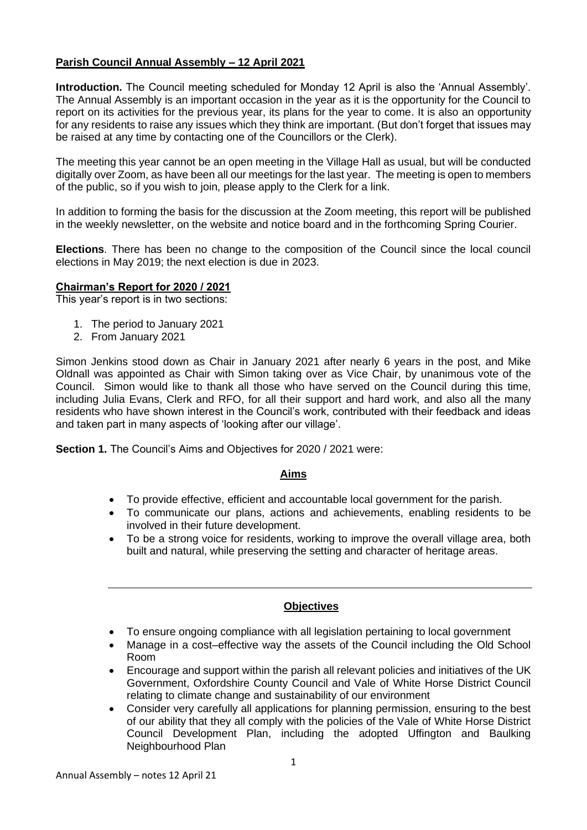## **Parish Council Annual Assembly – 12 April 2021**

**Introduction.** The Council meeting scheduled for Monday 12 April is also the 'Annual Assembly'. The Annual Assembly is an important occasion in the year as it is the opportunity for the Council to report on its activities for the previous year, its plans for the year to come. It is also an opportunity for any residents to raise any issues which they think are important. (But don't forget that issues may be raised at any time by contacting one of the Councillors or the Clerk).

The meeting this year cannot be an open meeting in the Village Hall as usual, but will be conducted digitally over Zoom, as have been all our meetings for the last year. The meeting is open to members of the public, so if you wish to join, please apply to the Clerk for a link.

In addition to forming the basis for the discussion at the Zoom meeting, this report will be published in the weekly newsletter, on the website and notice board and in the forthcoming Spring Courier.

**Elections**. There has been no change to the composition of the Council since the local council elections in May 2019; the next election is due in 2023.

#### **Chairman's Report for 2020 / 2021**

This year's report is in two sections:

- 1. The period to January 2021
- 2. From January 2021

Simon Jenkins stood down as Chair in January 2021 after nearly 6 years in the post, and Mike Oldnall was appointed as Chair with Simon taking over as Vice Chair, by unanimous vote of the Council. Simon would like to thank all those who have served on the Council during this time, including Julia Evans, Clerk and RFO, for all their support and hard work, and also all the many residents who have shown interest in the Council's work, contributed with their feedback and ideas and taken part in many aspects of 'looking after our village'.

**Section 1.** The Council's Aims and Objectives for 2020 / 2021 were:

## **Aims**

- To provide effective, efficient and accountable local government for the parish.
- To communicate our plans, actions and achievements, enabling residents to be involved in their future development.
- To be a strong voice for residents, working to improve the overall village area, both built and natural, while preserving the setting and character of heritage areas.

## **Objectives**

- To ensure ongoing compliance with all legislation pertaining to local government
- Manage in a cost–effective way the assets of the Council including the Old School Room
- Encourage and support within the parish all relevant policies and initiatives of the UK Government, Oxfordshire County Council and Vale of White Horse District Council relating to climate change and sustainability of our environment
- Consider very carefully all applications for planning permission, ensuring to the best of our ability that they all comply with the policies of the Vale of White Horse District Council Development Plan, including the adopted Uffington and Baulking Neighbourhood Plan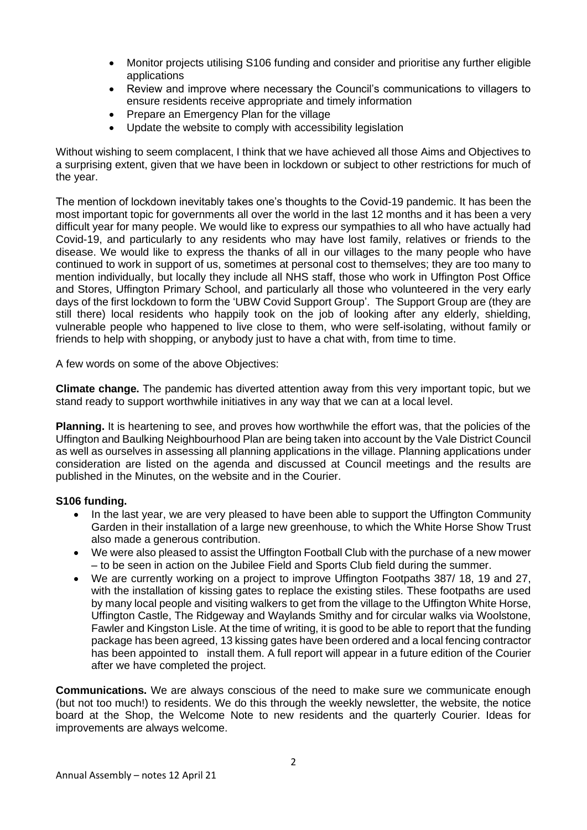- Monitor projects utilising S106 funding and consider and prioritise any further eligible applications
- Review and improve where necessary the Council's communications to villagers to ensure residents receive appropriate and timely information
- Prepare an Emergency Plan for the village
- Update the website to comply with accessibility legislation

Without wishing to seem complacent, I think that we have achieved all those Aims and Objectives to a surprising extent, given that we have been in lockdown or subject to other restrictions for much of the year.

The mention of lockdown inevitably takes one's thoughts to the Covid-19 pandemic. It has been the most important topic for governments all over the world in the last 12 months and it has been a very difficult year for many people. We would like to express our sympathies to all who have actually had Covid-19, and particularly to any residents who may have lost family, relatives or friends to the disease. We would like to express the thanks of all in our villages to the many people who have continued to work in support of us, sometimes at personal cost to themselves; they are too many to mention individually, but locally they include all NHS staff, those who work in Uffington Post Office and Stores, Uffington Primary School, and particularly all those who volunteered in the very early days of the first lockdown to form the 'UBW Covid Support Group'. The Support Group are (they are still there) local residents who happily took on the job of looking after any elderly, shielding, vulnerable people who happened to live close to them, who were self-isolating, without family or friends to help with shopping, or anybody just to have a chat with, from time to time.

A few words on some of the above Objectives:

**Climate change.** The pandemic has diverted attention away from this very important topic, but we stand ready to support worthwhile initiatives in any way that we can at a local level.

**Planning.** It is heartening to see, and proves how worthwhile the effort was, that the policies of the Uffington and Baulking Neighbourhood Plan are being taken into account by the Vale District Council as well as ourselves in assessing all planning applications in the village. Planning applications under consideration are listed on the agenda and discussed at Council meetings and the results are published in the Minutes, on the website and in the Courier.

## **S106 funding.**

- In the last year, we are very pleased to have been able to support the Uffington Community Garden in their installation of a large new greenhouse, to which the White Horse Show Trust also made a generous contribution.
- We were also pleased to assist the Uffington Football Club with the purchase of a new mower – to be seen in action on the Jubilee Field and Sports Club field during the summer.
- We are currently working on a project to improve Uffington Footpaths 387/ 18, 19 and 27, with the installation of kissing gates to replace the existing stiles. These footpaths are used by many local people and visiting walkers to get from the village to the Uffington White Horse, Uffington Castle, The Ridgeway and Waylands Smithy and for circular walks via Woolstone, Fawler and Kingston Lisle. At the time of writing, it is good to be able to report that the funding package has been agreed, 13 kissing gates have been ordered and a local fencing contractor has been appointed to install them. A full report will appear in a future edition of the Courier after we have completed the project.

**Communications.** We are always conscious of the need to make sure we communicate enough (but not too much!) to residents. We do this through the weekly newsletter, the website, the notice board at the Shop, the Welcome Note to new residents and the quarterly Courier. Ideas for improvements are always welcome.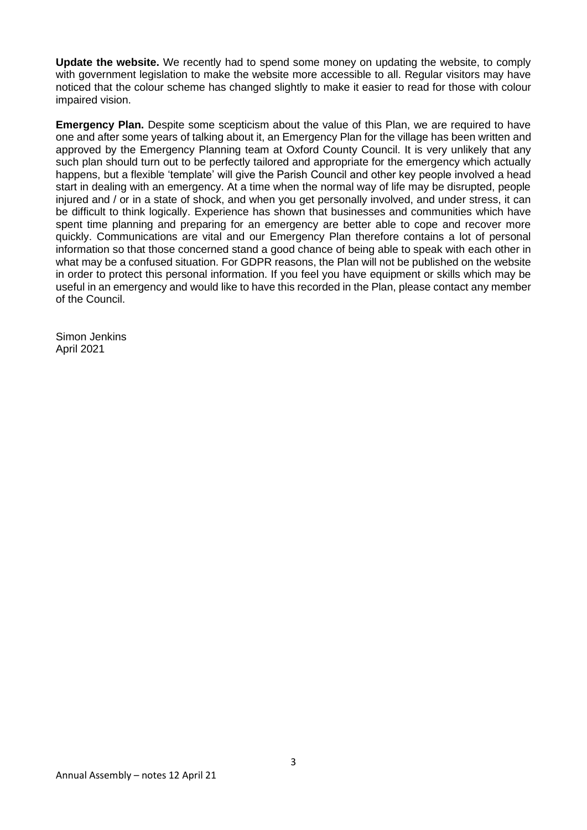**Update the website.** We recently had to spend some money on updating the website, to comply with government legislation to make the website more accessible to all. Regular visitors may have noticed that the colour scheme has changed slightly to make it easier to read for those with colour impaired vision.

**Emergency Plan.** Despite some scepticism about the value of this Plan, we are required to have one and after some years of talking about it, an Emergency Plan for the village has been written and approved by the Emergency Planning team at Oxford County Council. It is very unlikely that any such plan should turn out to be perfectly tailored and appropriate for the emergency which actually happens, but a flexible 'template' will give the Parish Council and other key people involved a head start in dealing with an emergency. At a time when the normal way of life may be disrupted, people injured and / or in a state of shock, and when you get personally involved, and under stress, it can be difficult to think logically. Experience has shown that businesses and communities which have spent time planning and preparing for an emergency are better able to cope and recover more quickly. Communications are vital and our Emergency Plan therefore contains a lot of personal information so that those concerned stand a good chance of being able to speak with each other in what may be a confused situation. For GDPR reasons, the Plan will not be published on the website in order to protect this personal information. If you feel you have equipment or skills which may be useful in an emergency and would like to have this recorded in the Plan, please contact any member of the Council.

Simon Jenkins April 2021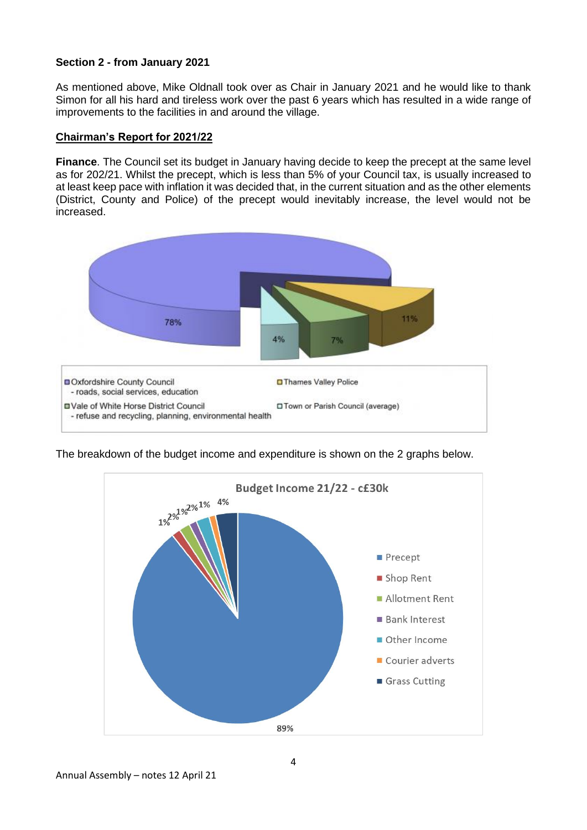## **Section 2 - from January 2021**

As mentioned above, Mike Oldnall took over as Chair in January 2021 and he would like to thank Simon for all his hard and tireless work over the past 6 years which has resulted in a wide range of improvements to the facilities in and around the village.

#### **Chairman's Report for 2021/22**

**Finance**. The Council set its budget in January having decide to keep the precept at the same level as for 202/21. Whilst the precept, which is less than 5% of your Council tax, is usually increased to at least keep pace with inflation it was decided that, in the current situation and as the other elements (District, County and Police) of the precept would inevitably increase, the level would not be increased.



The breakdown of the budget income and expenditure is shown on the 2 graphs below.

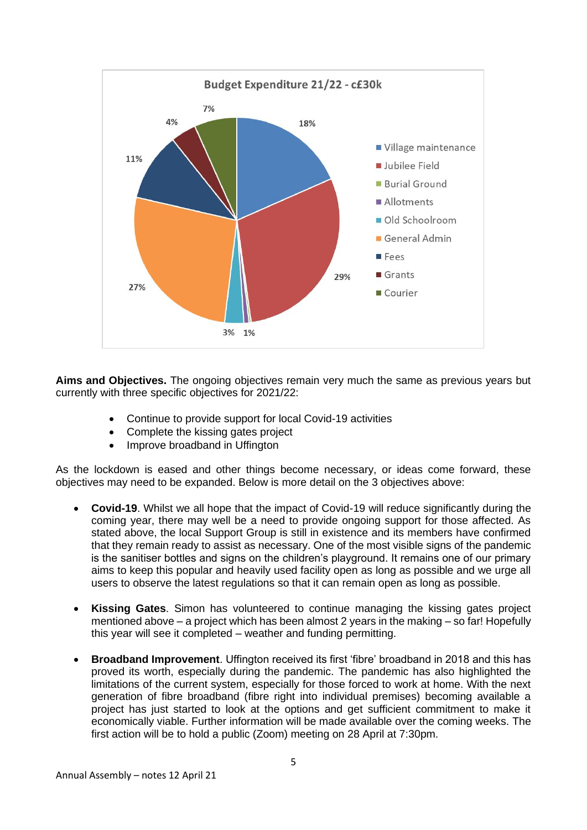

**Aims and Objectives.** The ongoing objectives remain very much the same as previous years but currently with three specific objectives for 2021/22:

- Continue to provide support for local Covid-19 activities
- Complete the kissing gates project
- Improve broadband in Uffington

As the lockdown is eased and other things become necessary, or ideas come forward, these objectives may need to be expanded. Below is more detail on the 3 objectives above:

- **Covid-19**. Whilst we all hope that the impact of Covid-19 will reduce significantly during the coming year, there may well be a need to provide ongoing support for those affected. As stated above, the local Support Group is still in existence and its members have confirmed that they remain ready to assist as necessary. One of the most visible signs of the pandemic is the sanitiser bottles and signs on the children's playground. It remains one of our primary aims to keep this popular and heavily used facility open as long as possible and we urge all users to observe the latest regulations so that it can remain open as long as possible.
- **Kissing Gates**. Simon has volunteered to continue managing the kissing gates project mentioned above – a project which has been almost 2 years in the making – so far! Hopefully this year will see it completed – weather and funding permitting.
- **Broadband Improvement**. Uffington received its first 'fibre' broadband in 2018 and this has proved its worth, especially during the pandemic. The pandemic has also highlighted the limitations of the current system, especially for those forced to work at home. With the next generation of fibre broadband (fibre right into individual premises) becoming available a project has just started to look at the options and get sufficient commitment to make it economically viable. Further information will be made available over the coming weeks. The first action will be to hold a public (Zoom) meeting on 28 April at 7:30pm.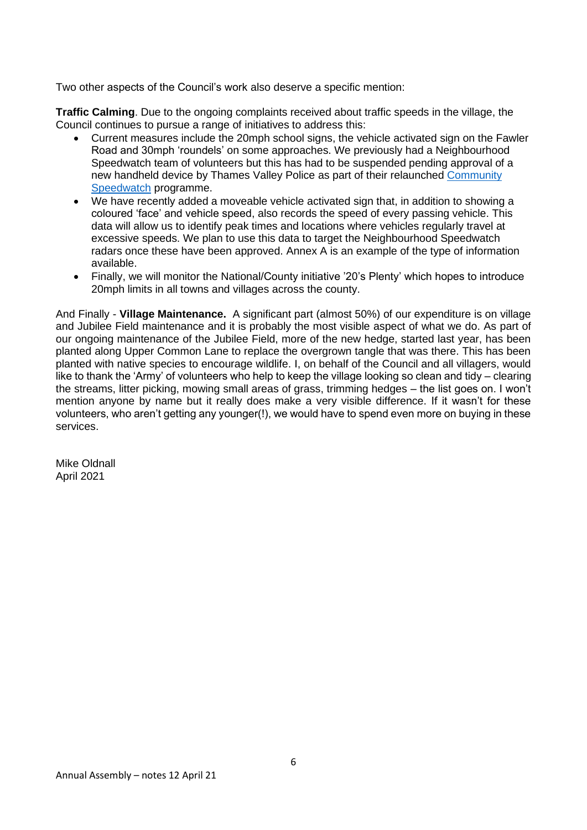Two other aspects of the Council's work also deserve a specific mention:

**Traffic Calming**. Due to the ongoing complaints received about traffic speeds in the village, the Council continues to pursue a range of initiatives to address this:

- Current measures include the 20mph school signs, the vehicle activated sign on the Fawler Road and 30mph 'roundels' on some approaches. We previously had a Neighbourhood Speedwatch team of volunteers but this has had to be suspended pending approval of a new handheld device by Thames Valley Police as part of their relaunched Community [Speedwatch](https://www.thamesvalley-pcc.gov.uk/news-and-events/thamesvalley-pcc-news/2021/03/restart-and-relaunch-for-community-speedwatch-in-2021/) programme.
- We have recently added a moveable vehicle activated sign that, in addition to showing a coloured 'face' and vehicle speed, also records the speed of every passing vehicle. This data will allow us to identify peak times and locations where vehicles regularly travel at excessive speeds. We plan to use this data to target the Neighbourhood Speedwatch radars once these have been approved. Annex A is an example of the type of information available.
- Finally, we will monitor the National/County initiative '20's Plenty' which hopes to introduce 20mph limits in all towns and villages across the county.

And Finally - **Village Maintenance.** A significant part (almost 50%) of our expenditure is on village and Jubilee Field maintenance and it is probably the most visible aspect of what we do. As part of our ongoing maintenance of the Jubilee Field, more of the new hedge, started last year, has been planted along Upper Common Lane to replace the overgrown tangle that was there. This has been planted with native species to encourage wildlife. I, on behalf of the Council and all villagers, would like to thank the 'Army' of volunteers who help to keep the village looking so clean and tidy – clearing the streams, litter picking, mowing small areas of grass, trimming hedges – the list goes on. I won't mention anyone by name but it really does make a very visible difference. If it wasn't for these volunteers, who aren't getting any younger(!), we would have to spend even more on buying in these services.

Mike Oldnall April 2021